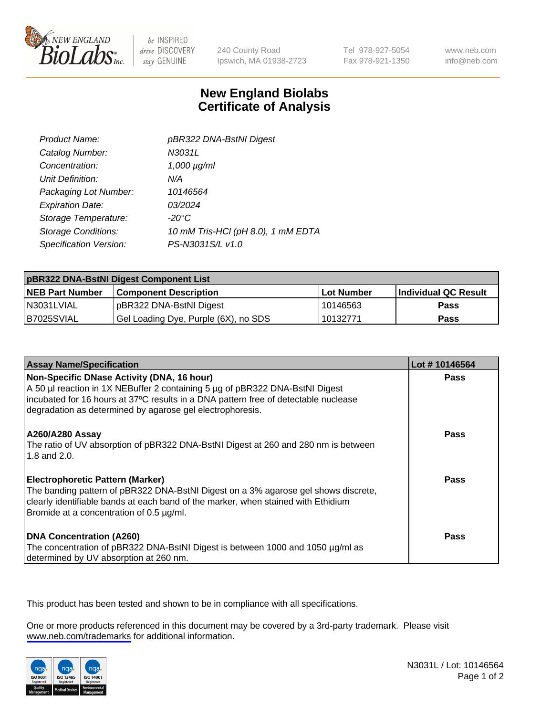

be INSPIRED drive DISCOVERY stay GENUINE

240 County Road Ipswich, MA 01938-2723 Tel 978-927-5054 Fax 978-921-1350

www.neb.com info@neb.com

## **New England Biolabs Certificate of Analysis**

| Product Name:              | pBR322 DNA-BstNI Digest            |
|----------------------------|------------------------------------|
| Catalog Number:            | N3031L                             |
| Concentration:             | $1,000 \mu g/ml$                   |
| Unit Definition:           | N/A                                |
| Packaging Lot Number:      | 10146564                           |
| <b>Expiration Date:</b>    | 03/2024                            |
| Storage Temperature:       | $-20^{\circ}$ C                    |
| <b>Storage Conditions:</b> | 10 mM Tris-HCl (pH 8.0), 1 mM EDTA |
| Specification Version:     | PS-N3031S/L v1.0                   |

| pBR322 DNA-BstNI Digest Component List |                                      |            |                      |  |
|----------------------------------------|--------------------------------------|------------|----------------------|--|
| <b>NEB Part Number</b>                 | <b>Component Description</b>         | Lot Number | Individual QC Result |  |
| N3031LVIAL                             | pBR322 DNA-BstNI Digest              | 10146563   | <b>Pass</b>          |  |
| I B7025SVIAL                           | Gel Loading Dye, Purple (6X), no SDS | 10132771   | <b>Pass</b>          |  |

| <b>Assay Name/Specification</b>                                                                                                                                                                                                                                                | Lot #10146564 |
|--------------------------------------------------------------------------------------------------------------------------------------------------------------------------------------------------------------------------------------------------------------------------------|---------------|
| Non-Specific DNase Activity (DNA, 16 hour)<br>A 50 µl reaction in 1X NEBuffer 2 containing 5 µg of pBR322 DNA-BstNI Digest<br>incubated for 16 hours at 37°C results in a DNA pattern free of detectable nuclease<br>degradation as determined by agarose gel electrophoresis. | <b>Pass</b>   |
| <b>A260/A280 Assay</b><br>The ratio of UV absorption of pBR322 DNA-BstNI Digest at 260 and 280 nm is between<br>1.8 and 2.0.                                                                                                                                                   | Pass          |
| <b>Electrophoretic Pattern (Marker)</b><br>The banding pattern of pBR322 DNA-BstNI Digest on a 3% agarose gel shows discrete,<br>clearly identifiable bands at each band of the marker, when stained with Ethidium<br>Bromide at a concentration of 0.5 µg/ml.                 | Pass          |
| <b>DNA Concentration (A260)</b><br>The concentration of pBR322 DNA-BstNI Digest is between 1000 and 1050 µg/ml as<br>determined by UV absorption at 260 nm.                                                                                                                    | <b>Pass</b>   |

This product has been tested and shown to be in compliance with all specifications.

One or more products referenced in this document may be covered by a 3rd-party trademark. Please visit <www.neb.com/trademarks>for additional information.